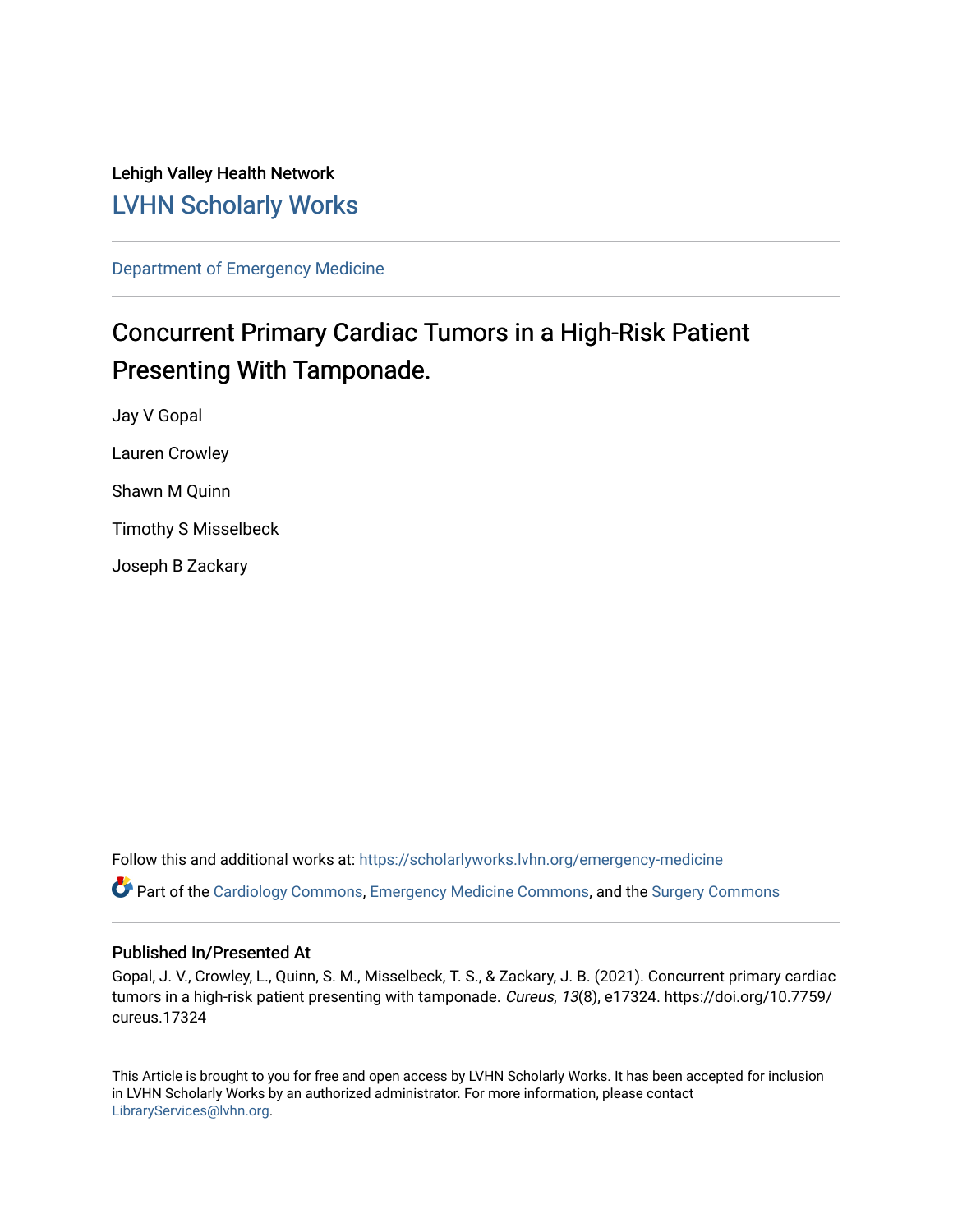Lehigh Valley Health Network [LVHN Scholarly Works](https://scholarlyworks.lvhn.org/)

[Department of Emergency Medicine](https://scholarlyworks.lvhn.org/emergency-medicine)

# Concurrent Primary Cardiac Tumors in a High-Risk Patient Presenting With Tamponade.

Jay V Gopal Lauren Crowley Shawn M Quinn Timothy S Misselbeck Joseph B Zackary

Follow this and additional works at: [https://scholarlyworks.lvhn.org/emergency-medicine](https://scholarlyworks.lvhn.org/emergency-medicine?utm_source=scholarlyworks.lvhn.org%2Femergency-medicine%2F683&utm_medium=PDF&utm_campaign=PDFCoverPages)  Part of the [Cardiology Commons](https://network.bepress.com/hgg/discipline/683?utm_source=scholarlyworks.lvhn.org%2Femergency-medicine%2F683&utm_medium=PDF&utm_campaign=PDFCoverPages), [Emergency Medicine Commons,](https://network.bepress.com/hgg/discipline/685?utm_source=scholarlyworks.lvhn.org%2Femergency-medicine%2F683&utm_medium=PDF&utm_campaign=PDFCoverPages) and the [Surgery Commons](https://network.bepress.com/hgg/discipline/706?utm_source=scholarlyworks.lvhn.org%2Femergency-medicine%2F683&utm_medium=PDF&utm_campaign=PDFCoverPages)

#### Published In/Presented At

Gopal, J. V., Crowley, L., Quinn, S. M., Misselbeck, T. S., & Zackary, J. B. (2021). Concurrent primary cardiac tumors in a high-risk patient presenting with tamponade. Cureus, 13(8), e17324. https://doi.org/10.7759/ cureus.17324

This Article is brought to you for free and open access by LVHN Scholarly Works. It has been accepted for inclusion in LVHN Scholarly Works by an authorized administrator. For more information, please contact [LibraryServices@lvhn.org](mailto:LibraryServices@lvhn.org).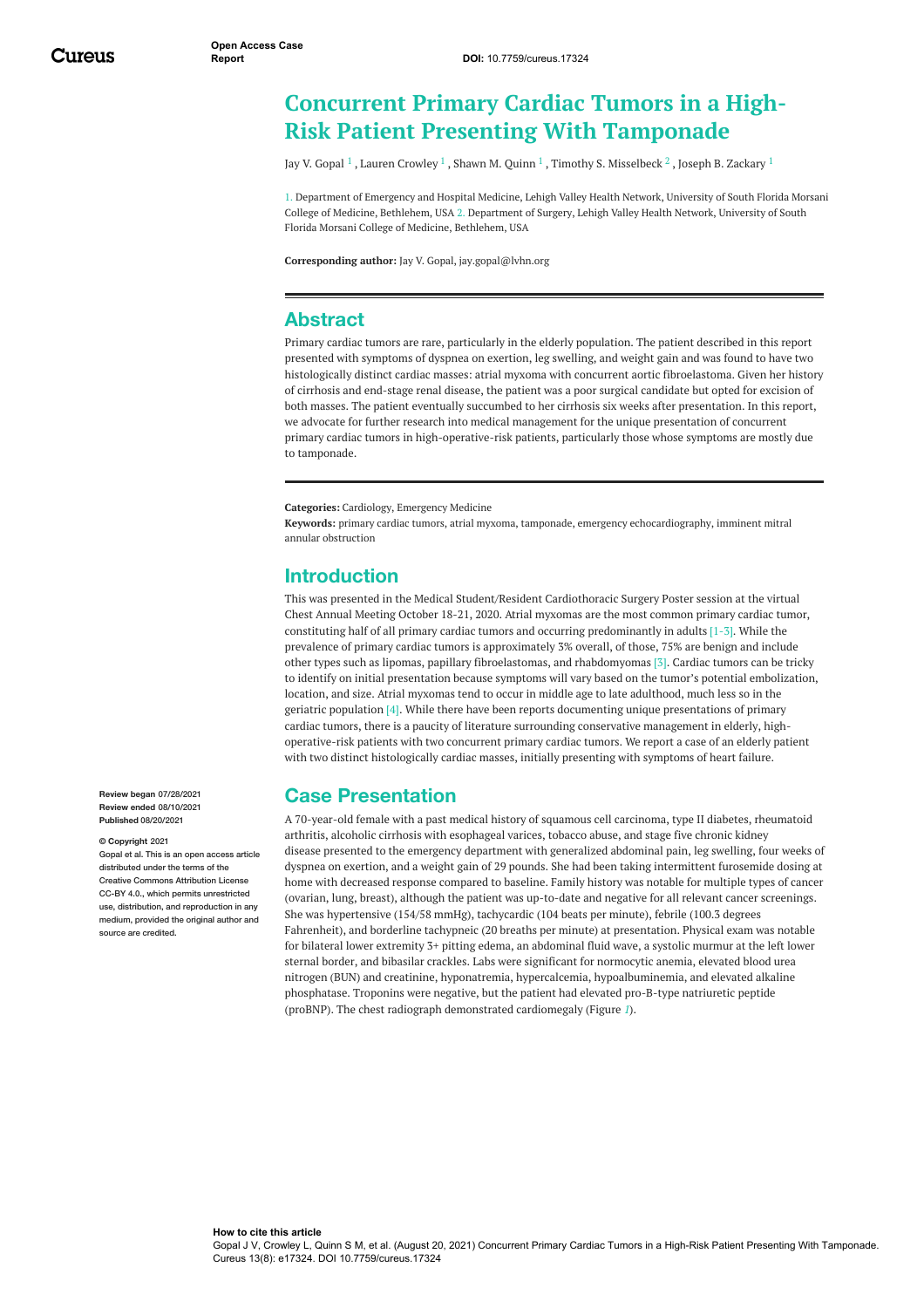## <span id="page-1-0"></span>**Concurrent Primary Cardiac Tumors in a High-Risk Patient Presenting With Tamponade**

Jay V. [Gopal](https://www.cureus.com/users/257260-jay-v-gopal)  $^1$  , Lauren [Crowley](https://www.cureus.com/users/257313-lauren-m-crowley)  $^1$  , [Shawn](https://www.cureus.com/users/257315-shawn-m-quinn) M. Quinn  $^1$  , Timothy S. [Misselbeck](https://www.cureus.com/users/257317-timothy-misselbeck)  $^2$  , Joseph B. [Zackary](https://www.cureus.com/users/257316-joseph-b-zackary)  $^1$ 

1. Department of Emergency and Hospital Medicine, Lehigh Valley Health Network, University of South Florida Morsani College of Medicine, Bethlehem, USA 2. Department of Surgery, Lehigh Valley Health Network, University of South Florida Morsani College of Medicine, Bethlehem, USA

**Corresponding author:** Jay V. Gopal, jay.gopal@lvhn.org

#### **Abstract**

Primary cardiac tumors are rare, particularly in the elderly population. The patient described in this report presented with symptoms of dyspnea on exertion, leg swelling, and weight gain and was found to have two histologically distinct cardiac masses: atrial myxoma with concurrent aortic fibroelastoma. Given her history of cirrhosis and end-stage renal disease, the patient was a poor surgical candidate but opted for excision of both masses. The patient eventually succumbed to her cirrhosis six weeks after presentation. In this report, we advocate for further research into medical management for the unique presentation of concurrent primary cardiac tumors in high-operative-risk patients, particularly those whose symptoms are mostly due to tamponade.

**Categories:** Cardiology, Emergency Medicine

**Keywords:** primary cardiac tumors, atrial myxoma, tamponade, emergency echocardiography, imminent mitral annular obstruction

#### **Introduction**

This was presented in the Medical Student/Resident Cardiothoracic Surgery Poster session at the virtual Chest Annual Meeting October 18-21, 2020. Atrial myxomas are the most common primary cardiac tumor, constituting half of all primary cardiac tumors and occurring predominantly in adults [1-3]. While the prevalence of primary cardiac tumors is approximately 3% overall, of those, 75% are benign and include other types such as lipomas, papillary fibroelastomas, and rhabdomyomas [3]. Cardiac tumors can be tricky to identify on initial presentation because symptoms will vary based on the tumor's potential embolization, location, and size. Atrial myxomas tend to occur in middle age to late adulthood, much less so in the geriatric population [4]. While there have been reports documenting unique presentations of primary cardiac tumors, there is a paucity of literature surrounding conservative management in elderly, highoperative-risk patients with two concurrent primary cardiac tumors. We report a case of an elderly patient with two distinct histologically cardiac masses, initially presenting with symptoms of heart failure.

#### **Case Presentation**

A 70-year-old female with a past medical history of squamous cell carcinoma, type II diabetes, rheumatoid arthritis, alcoholic cirrhosis with esophageal varices, tobacco abuse, and stage five chronic kidney disease presented to the emergency department with generalized abdominal pain, leg swelling, four weeks of dyspnea on exertion, and a weight gain of 29 pounds. She had been taking intermittent furosemide dosing at home with decreased response compared to baseline. Family history was notable for multiple types of cancer (ovarian, lung, breast), although the patient was up-to-date and negative for all relevant cancer screenings. She was hypertensive (154/58 mmHg), tachycardic (104 beats per minute), febrile (100.3 degrees Fahrenheit), and borderline tachypneic (20 breaths per minute) at presentation. Physical exam was notable for bilateral lower extremity 3+ pitting edema, an abdominal fluid wave, a systolic murmur at the left lower sternal border, and bibasilar crackles. Labs were significant for normocytic anemia, elevated blood urea nitrogen (BUN) and creatinine, hyponatremia, hypercalcemia, hypoalbuminemia, and elevated alkaline phosphatase. Troponins were negative, but the patient had elevated pro-B-type natriuretic peptide (proBNP). The chest radiograph demonstrated cardiomegaly (Figure *[1](#page-1-0)*).

**Review began** 07/28/2021 **Review ended** 08/10/2021 **Published** 08/20/2021

#### **© Copyright** 2021

Gopal et al. This is an open access article distributed under the terms of the Creative Commons Attribution License CC-BY 4.0., which permits unrestricted use, distribution, and reproduction in any medium, provided the original author and source are credited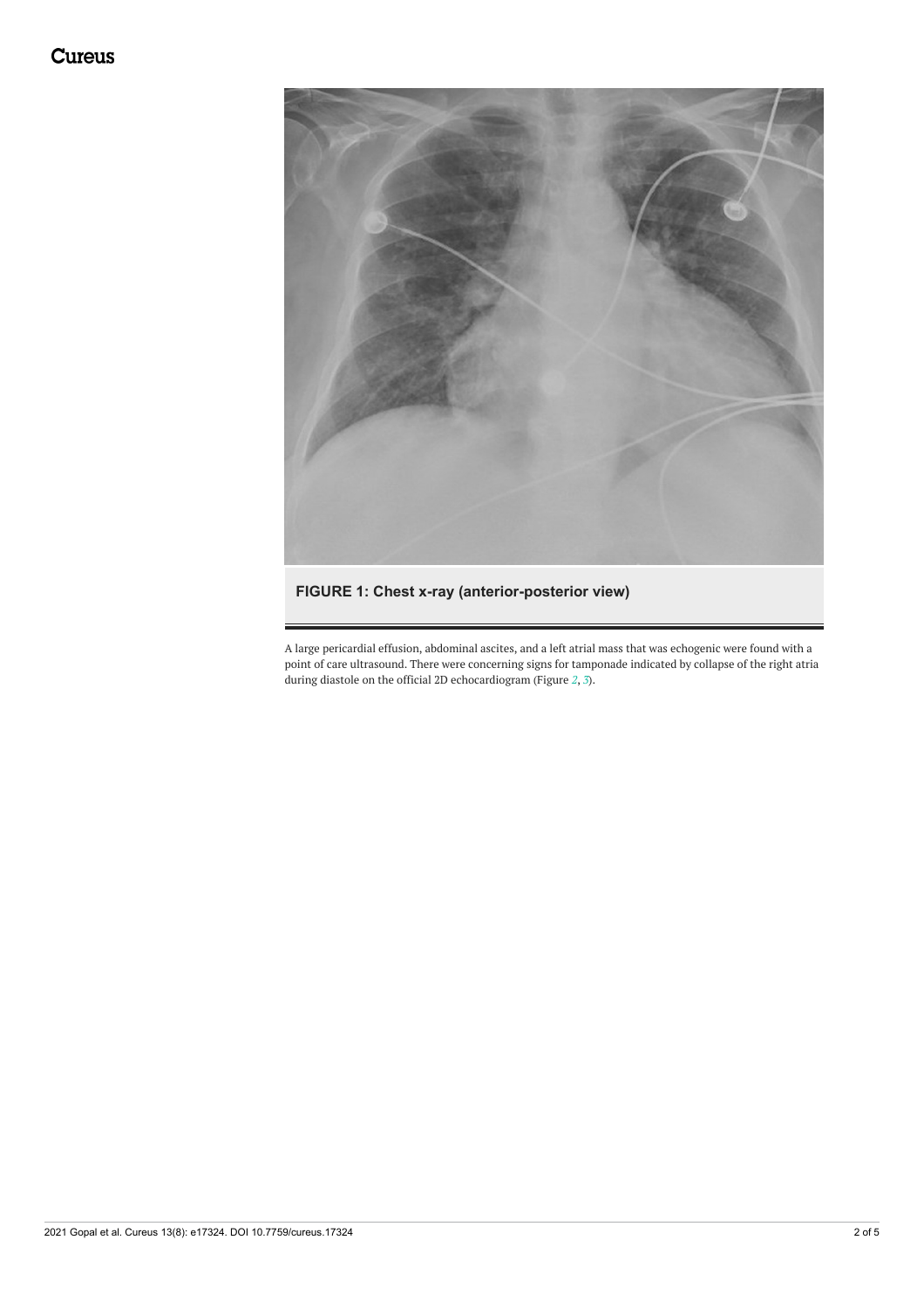<span id="page-2-0"></span>

#### **FIGURE 1: Chest x-ray (anterior-posterior view)**

<span id="page-2-1"></span>A large pericardial effusion, abdominal ascites, and a left atrial mass that was echogenic were found with a point of care ultrasound. There were concerning signs for tamponade indicated by collapse of the right atria during diastole on the official 2D echocardiogram (Figure *[2](#page-2-0)*, *[3](#page-2-1)*).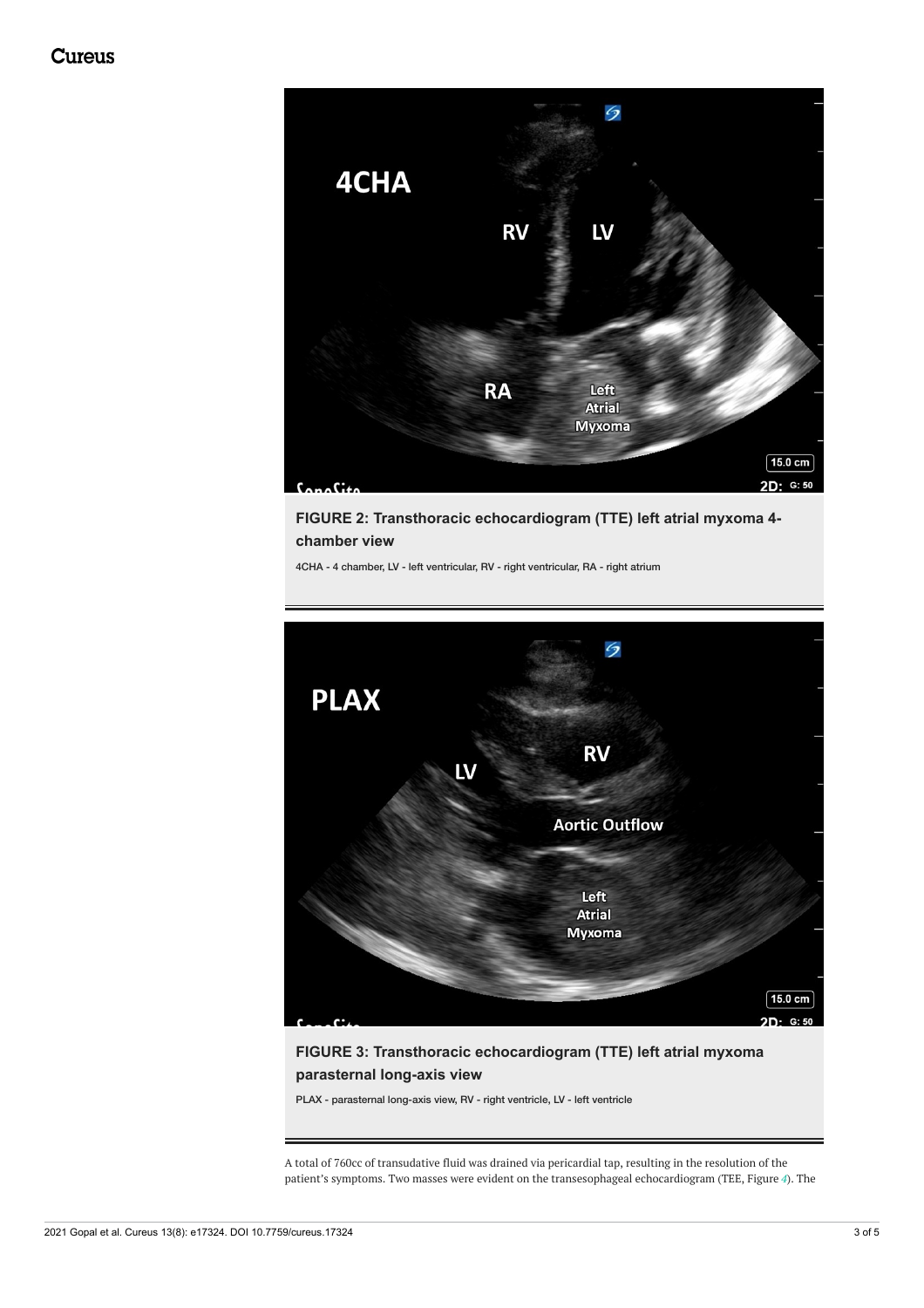<span id="page-3-0"></span>

**FIGURE 2: Transthoracic echocardiogram (TTE) left atrial myxoma 4 chamber view**

4CHA - 4 chamber, LV - left ventricular, RV - right ventricular, RA - right atrium



**FIGURE 3: Transthoracic echocardiogram (TTE) left atrial myxoma parasternal long-axis view**

PLAX - parasternal long-axis view, RV - right ventricle, LV - left ventricle

A total of 760cc of transudative fluid was drained via pericardial tap, resulting in the resolution of the patient's symptoms. Two masses were evident on the transesophageal echocardiogram (TEE, Figure *[4](#page-3-0)*). The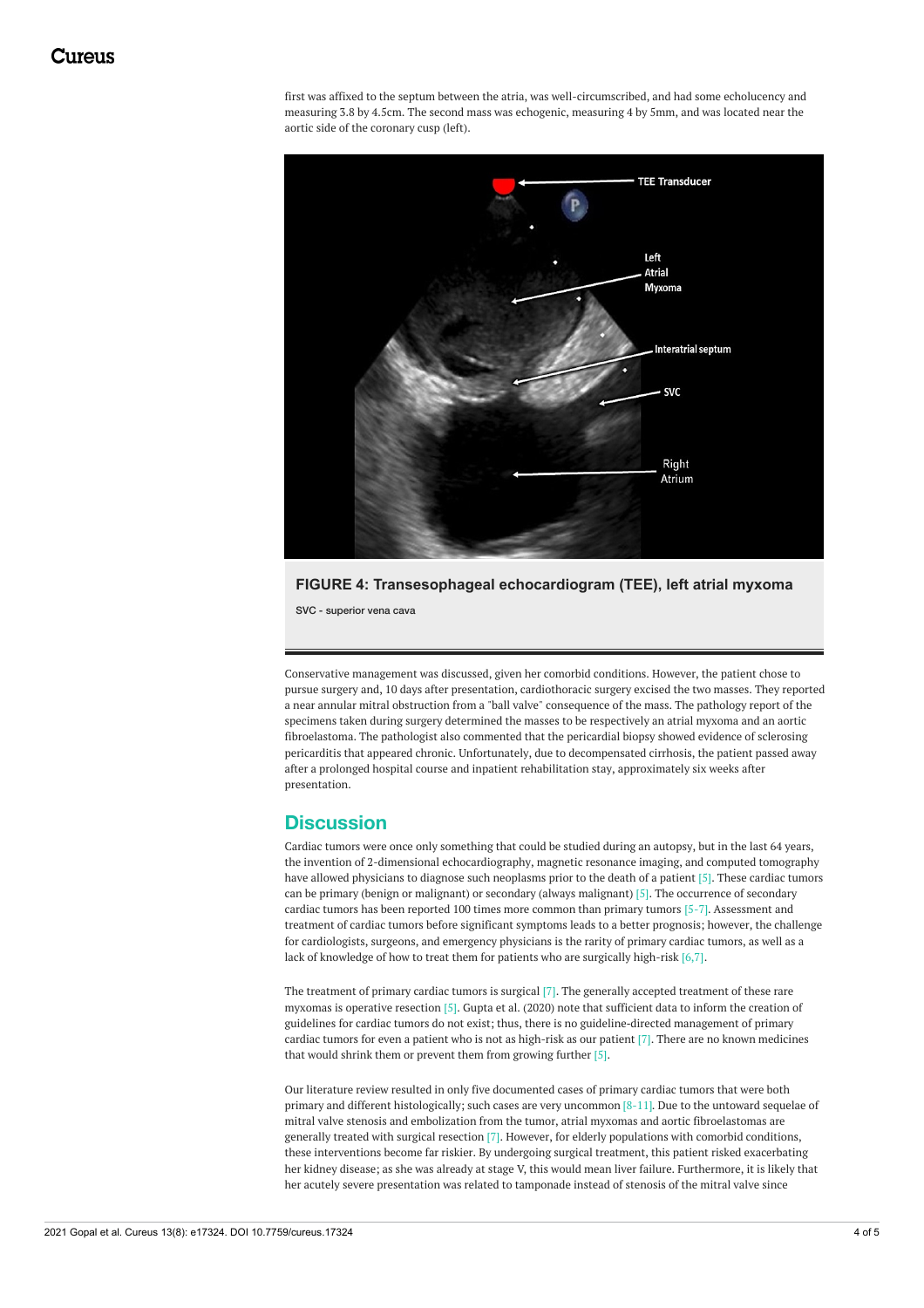first was affixed to the septum between the atria, was well-circumscribed, and had some echolucency and measuring 3.8 by 4.5cm. The second mass was echogenic, measuring 4 by 5mm, and was located near the aortic side of the coronary cusp (left).



**FIGURE 4: Transesophageal echocardiogram (TEE), left atrial myxoma**

SVC - superior vena cava

Conservative management was discussed, given her comorbid conditions. However, the patient chose to pursue surgery and, 10 days after presentation, cardiothoracic surgery excised the two masses. They reported a near annular mitral obstruction from a "ball valve" consequence of the mass. The pathology report of the specimens taken during surgery determined the masses to be respectively an atrial myxoma and an aortic fibroelastoma. The pathologist also commented that the pericardial biopsy showed evidence of sclerosing pericarditis that appeared chronic. Unfortunately, due to decompensated cirrhosis, the patient passed away after a prolonged hospital course and inpatient rehabilitation stay, approximately six weeks after presentation.

#### **Discussion**

Cardiac tumors were once only something that could be studied during an autopsy, but in the last 64 years, the invention of 2-dimensional echocardiography, magnetic resonance imaging, and computed tomography have allowed physicians to diagnose such neoplasms prior to the death of a patient [5]. These cardiac tumors can be primary (benign or malignant) or secondary (always malignant) [5]. The occurrence of secondary cardiac tumors has been reported 100 times more common than primary tumors [5-7]. Assessment and treatment of cardiac tumors before significant symptoms leads to a better prognosis; however, the challenge for cardiologists, surgeons, and emergency physicians is the rarity of primary cardiac tumors, as well as a lack of knowledge of how to treat them for patients who are surgically high-risk [6,7].

The treatment of primary cardiac tumors is surgical [7]. The generally accepted treatment of these rare myxomas is operative resection [5]. Gupta et al. (2020) note that sufficient data to inform the creation of guidelines for cardiac tumors do not exist; thus, there is no guideline‐directed management of primary cardiac tumors for even a patient who is not as high-risk as our patient [7]. There are no known medicines that would shrink them or prevent them from growing further [5].

Our literature review resulted in only five documented cases of primary cardiac tumors that were both primary and different histologically; such cases are very uncommon [8-11]. Due to the untoward sequelae of mitral valve stenosis and embolization from the tumor, atrial myxomas and aortic fibroelastomas are generally treated with surgical resection [7]. However, for elderly populations with comorbid conditions, these interventions become far riskier. By undergoing surgical treatment, this patient risked exacerbating her kidney disease; as she was already at stage V, this would mean liver failure. Furthermore, it is likely that her acutely severe presentation was related to tamponade instead of stenosis of the mitral valve since